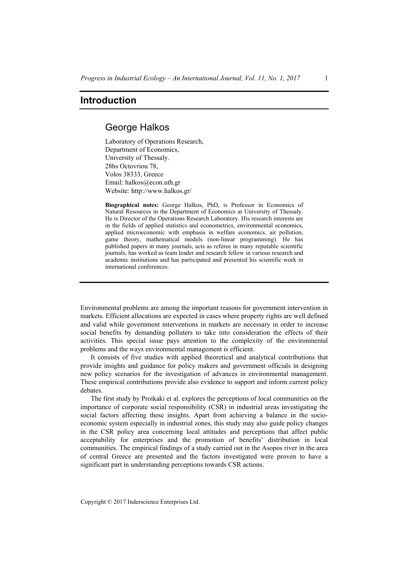## **Introduction**

## George Halkos

Laboratory of Operations Research, Department of Economics, University of Thessaly. 28hs Octovriou 78, Volos 38333, Greece Email: halkos@econ.uth.gr Website: http://www.halkos.gr/

**Biographical notes:** George Halkos, PhD, is Professor in Economics of Natural Resources in the Department of Economics at University of Thessaly. He is Director of the Operations Research Laboratory. His research interests are in the fields of applied statistics and econometrics, environmental economics, applied microeconomic with emphasis in welfare economics, air pollution, game theory, mathematical models (non-linear programming). He has published papers in many journals, acts as referee in many reputable scientific journals, has worked as team leader and research fellow in various research and academic institutions and has participated and presented his scientific work in international conferences.

Environmental problems are among the important reasons for government intervention in markets. Efficient allocations are expected in cases where property rights are well defined and valid while government interventions in markets are necessary in order to increase social benefits by demanding polluters to take into consideration the effects of their activities. This special issue pays attention to the complexity of the environmental problems and the ways environmental management is efficient.

It consists of five studies with applied theoretical and analytical contributions that provide insights and guidance for policy makers and government officials in designing new policy scenarios for the investigation of advances in environmental management. These empirical contributions provide also evidence to support and inform current policy debates.

The first study by Proikaki et al. explores the perceptions of local communities on the importance of corporate social responsibility (CSR) in industrial areas investigating the social factors affecting these insights. Apart from achieving a balance in the socioeconomic system especially in industrial zones, this study may also guide policy changes in the CSR policy area concerning local attitudes and perceptions that affect public acceptability for enterprises and the promotion of benefits' distribution in local communities. The empirical findings of a study carried out in the Asopos river in the area of central Greece are presented and the factors investigated were proven to have a significant part in understanding perceptions towards CSR actions.